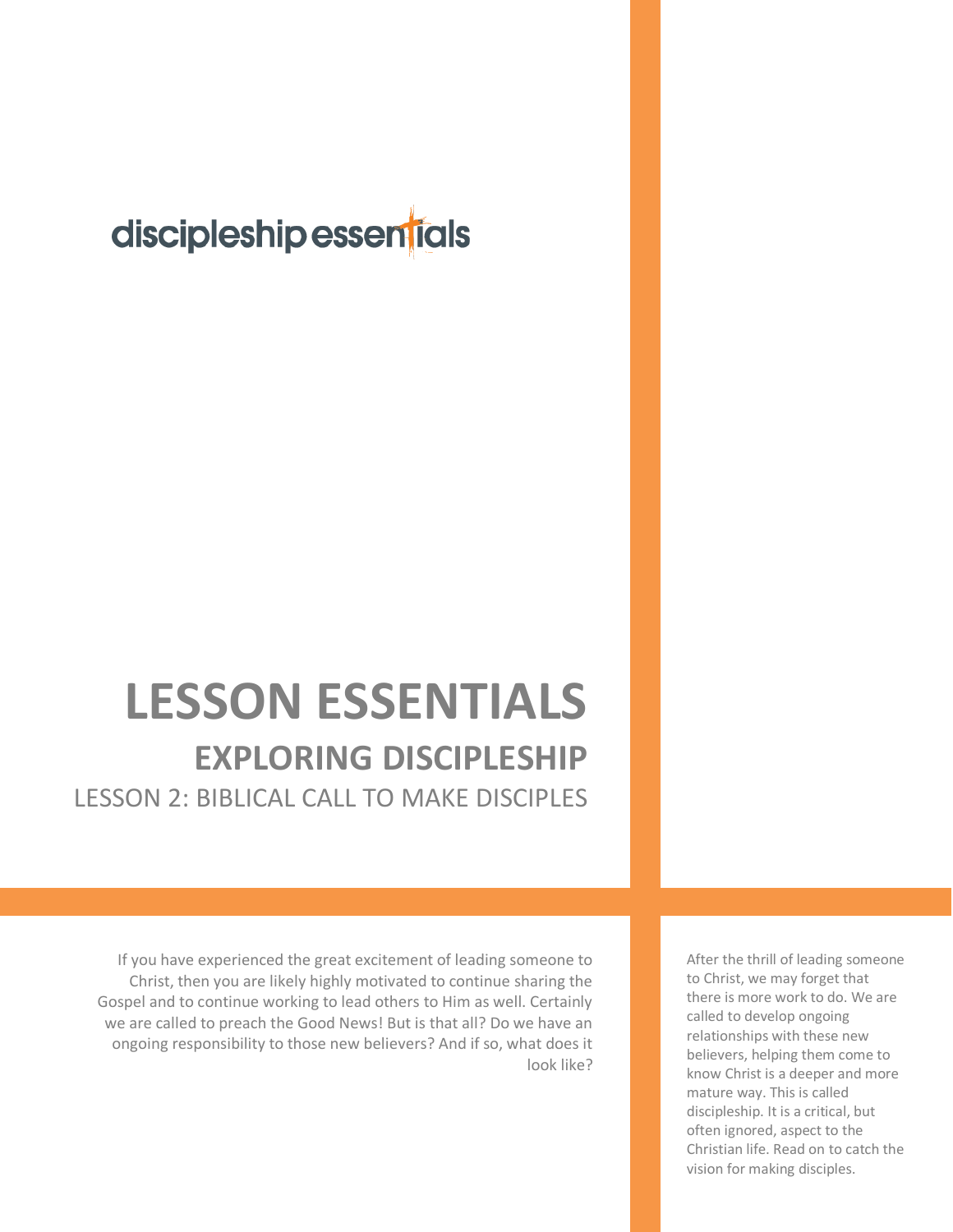## discipleship essentials

## **LESSON ESSENTIALS EXPLORING DISCIPLESHIP** LESSON 2: BIBLICAL CALL TO MAKE DISCIPLES

If you have experienced the great excitement of leading someone to Christ, then you are likely highly motivated to continue sharing the Gospel and to continue working to lead others to Him as well. Certainly we are called to preach the Good News! But is that all? Do we have an ongoing responsibility to those new believers? And if so, what does it look like? After the thrill of leading someone to Christ, we may forget that there is more work to do. We are called to develop ongoing relationships with these new believers, helping them come to know Christ is a deeper and more mature way. This is called discipleship. It is a critical, but often ignored, aspect to the Christian life. Read on to catch the vision for making disciples.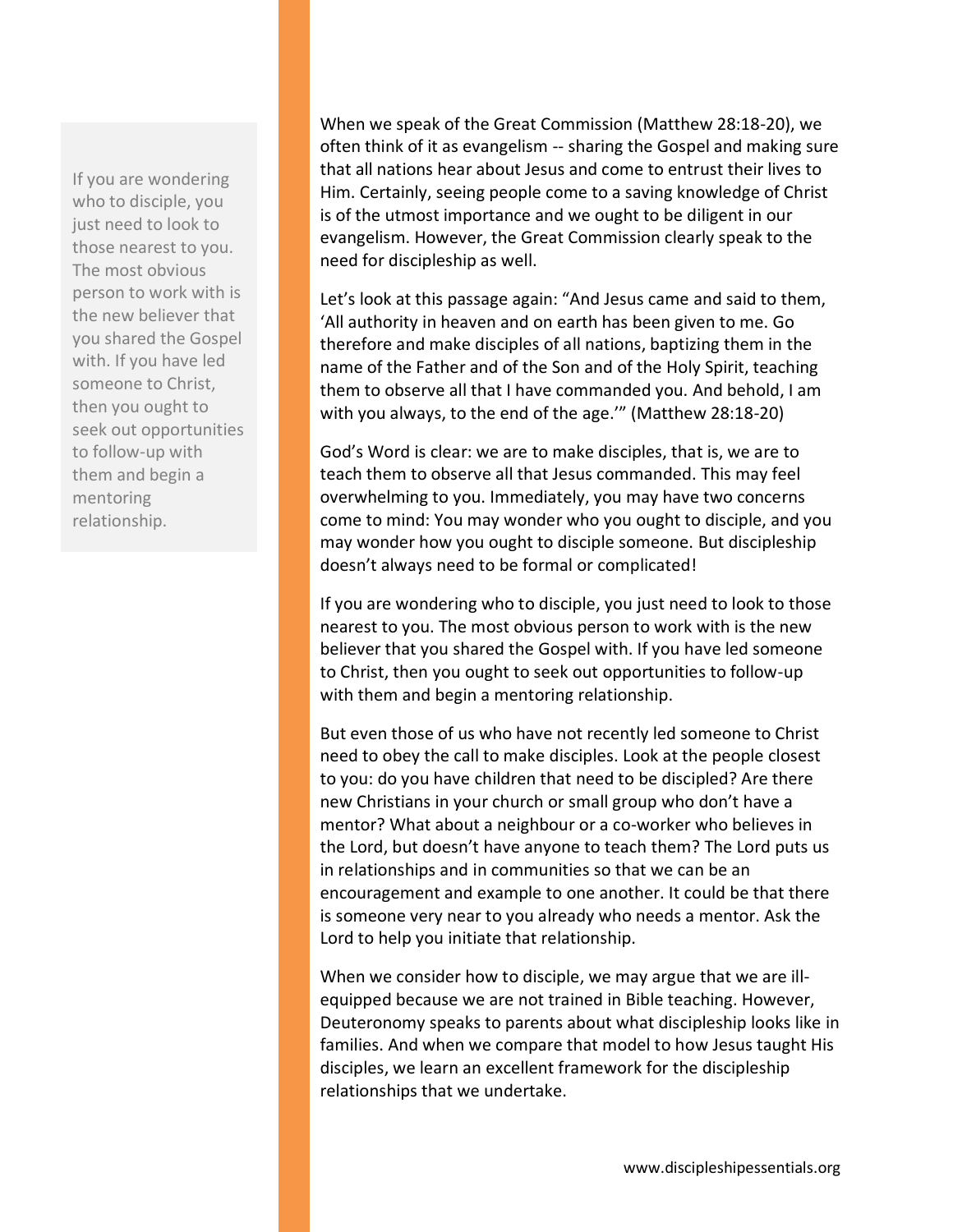If you are wondering who to disciple, you just need to look to those nearest to you. The most obvious person to work with is the new believer that you shared the Gospel with. If you have led someone to Christ, then you ought to seek out opportunities to follow-up with them and begin a mentoring relationship.

When we speak of the Great Commission (Matthew 28:18-20), we often think of it as evangelism -- sharing the Gospel and making sure that all nations hear about Jesus and come to entrust their lives to Him. Certainly, seeing people come to a saving knowledge of Christ is of the utmost importance and we ought to be diligent in our evangelism. However, the Great Commission clearly speak to the need for discipleship as well.

Let's look at this passage again: "And Jesus came and said to them, 'All authority in heaven and on earth has been given to me. Go therefore and make disciples of all nations, baptizing them in the name of the Father and of the Son and of the Holy Spirit, teaching them to observe all that I have commanded you. And behold, I am with you always, to the end of the age.'" (Matthew 28:18-20)

God's Word is clear: we are to make disciples, that is, we are to teach them to observe all that Jesus commanded. This may feel overwhelming to you. Immediately, you may have two concerns come to mind: You may wonder who you ought to disciple, and you may wonder how you ought to disciple someone. But discipleship doesn't always need to be formal or complicated!

If you are wondering who to disciple, you just need to look to those nearest to you. The most obvious person to work with is the new believer that you shared the Gospel with. If you have led someone to Christ, then you ought to seek out opportunities to follow-up with them and begin a mentoring relationship.

But even those of us who have not recently led someone to Christ need to obey the call to make disciples. Look at the people closest to you: do you have children that need to be discipled? Are there new Christians in your church or small group who don't have a mentor? What about a neighbour or a co-worker who believes in the Lord, but doesn't have anyone to teach them? The Lord puts us in relationships and in communities so that we can be an encouragement and example to one another. It could be that there is someone very near to you already who needs a mentor. Ask the Lord to help you initiate that relationship.

When we consider how to disciple, we may argue that we are illequipped because we are not trained in Bible teaching. However, Deuteronomy speaks to parents about what discipleship looks like in families. And when we compare that model to how Jesus taught His disciples, we learn an excellent framework for the discipleship relationships that we undertake.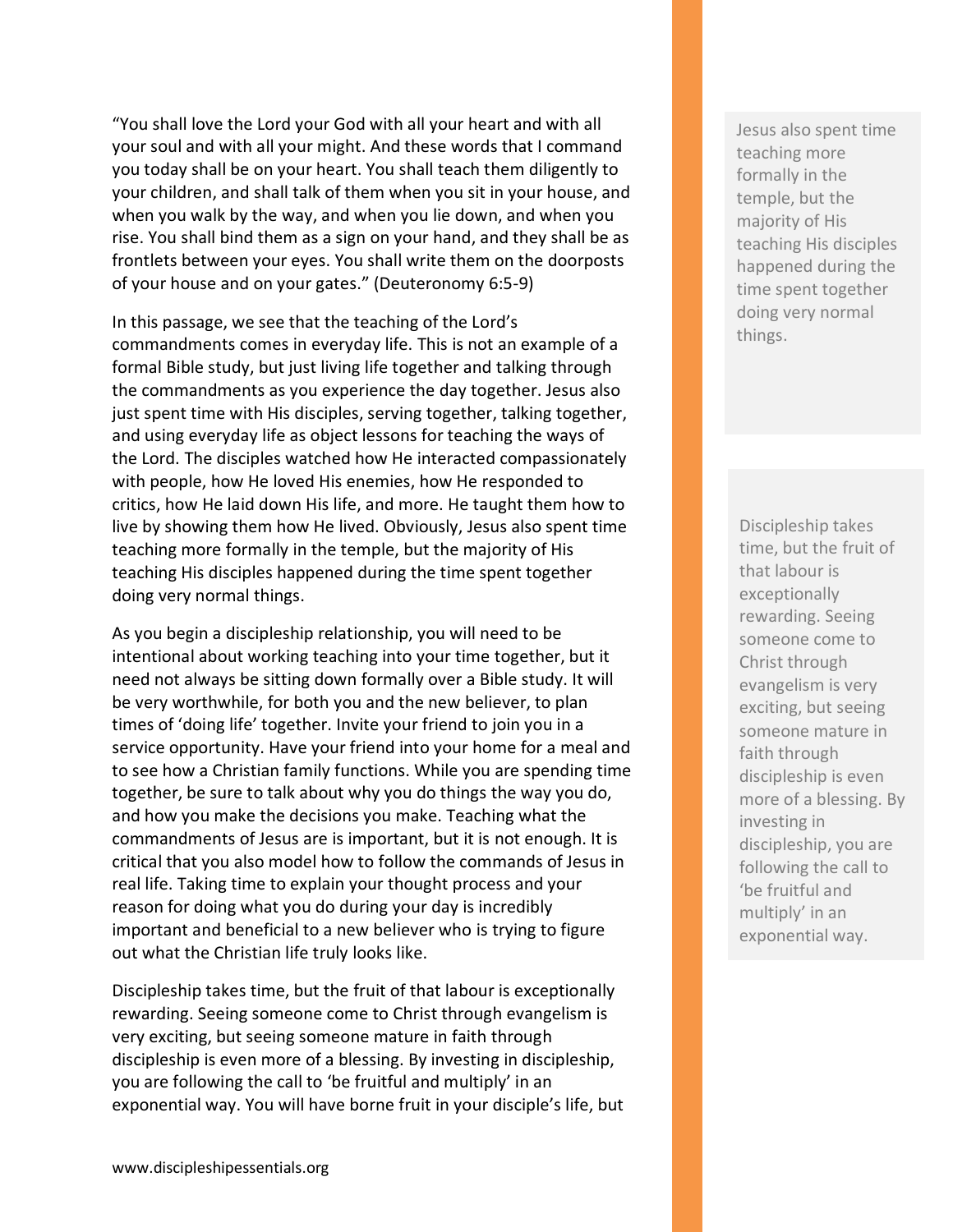"You shall love the Lord your God with all your heart and with all your soul and with all your might. And these words that I command you today shall be on your heart. You shall teach them diligently to your children, and shall talk of them when you sit in your house, and when you walk by the way, and when you lie down, and when you rise. You shall bind them as a sign on your hand, and they shall be as frontlets between your eyes. You shall write them on the doorposts of your house and on your gates." (Deuteronomy 6:5-9)

In this passage, we see that the teaching of the Lord's commandments comes in everyday life. This is not an example of a formal Bible study, but just living life together and talking through the commandments as you experience the day together. Jesus also just spent time with His disciples, serving together, talking together, and using everyday life as object lessons for teaching the ways of the Lord. The disciples watched how He interacted compassionately with people, how He loved His enemies, how He responded to critics, how He laid down His life, and more. He taught them how to live by showing them how He lived. Obviously, Jesus also spent time teaching more formally in the temple, but the majority of His teaching His disciples happened during the time spent together doing very normal things.

As you begin a discipleship relationship, you will need to be intentional about working teaching into your time together, but it need not always be sitting down formally over a Bible study. It will be very worthwhile, for both you and the new believer, to plan times of 'doing life' together. Invite your friend to join you in a service opportunity. Have your friend into your home for a meal and to see how a Christian family functions. While you are spending time together, be sure to talk about why you do things the way you do, and how you make the decisions you make. Teaching what the commandments of Jesus are is important, but it is not enough. It is critical that you also model how to follow the commands of Jesus in real life. Taking time to explain your thought process and your reason for doing what you do during your day is incredibly important and beneficial to a new believer who is trying to figure out what the Christian life truly looks like.

Discipleship takes time, but the fruit of that labour is exceptionally rewarding. Seeing someone come to Christ through evangelism is very exciting, but seeing someone mature in faith through discipleship is even more of a blessing. By investing in discipleship, you are following the call to 'be fruitful and multiply' in an exponential way. You will have borne fruit in your disciple's life, but Jesus also spent time teaching more formally in the temple, but the majority of His teaching His disciples happened during the time spent together doing very normal things.

Discipleship takes time, but the fruit of that labour is exceptionally rewarding. Seeing someone come to Christ through evangelism is very exciting, but seeing someone mature in faith through discipleship is even more of a blessing. By investing in discipleship, you are following the call to 'be fruitful and multiply' in an exponential way.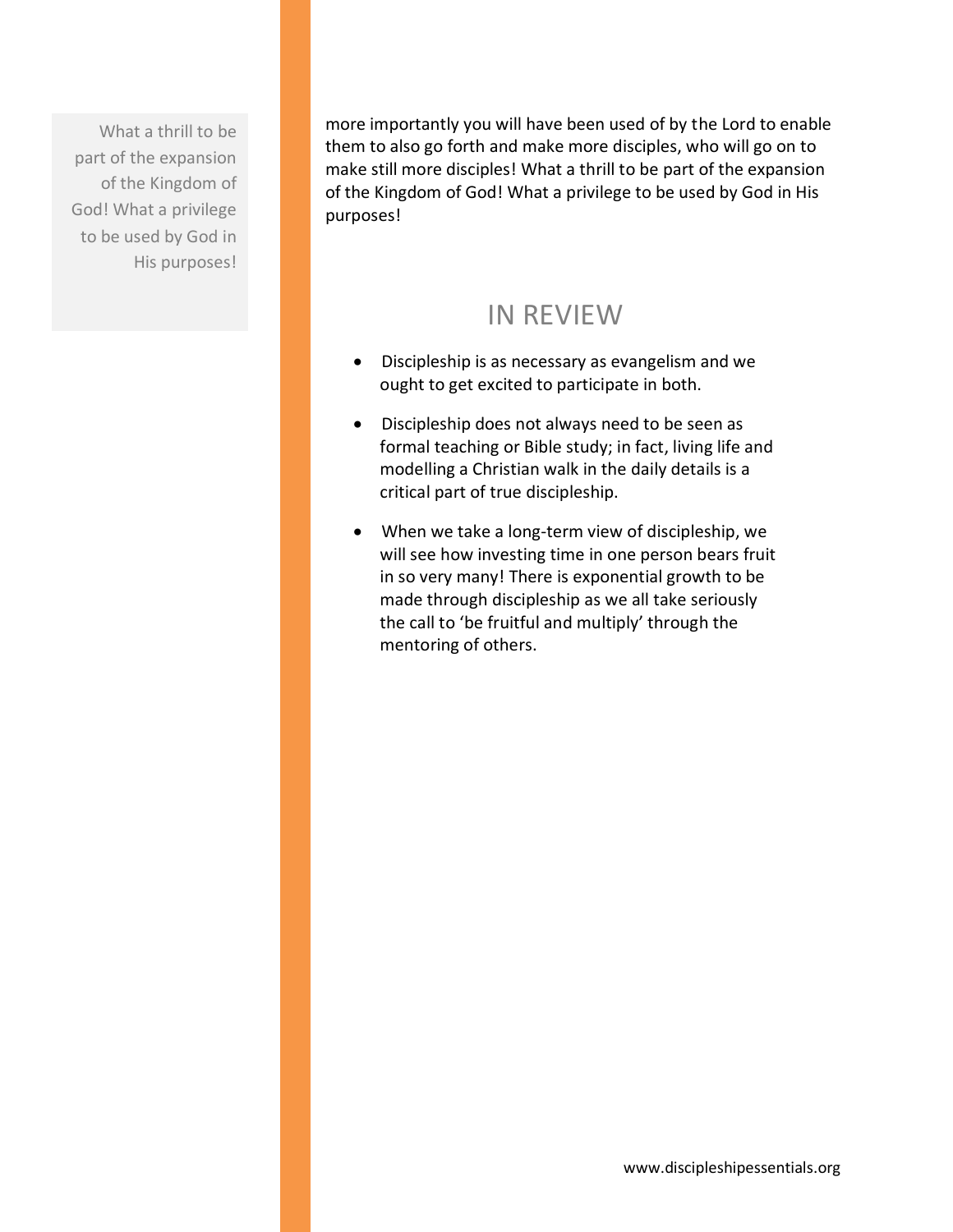What a thrill to be part of the expansion of the Kingdom of God! What a privilege to be used by God in His purposes!

more importantly you will have been used of by the Lord to enable them to also go forth and make more disciples, who will go on to make still more disciples! What a thrill to be part of the expansion of the Kingdom of God! What a privilege to be used by God in His purposes!

## IN REVIEW

- Discipleship is as necessary as evangelism and we ought to get excited to participate in both.
- Discipleship does not always need to be seen as formal teaching or Bible study; in fact, living life and modelling a Christian walk in the daily details is a critical part of true discipleship.
- When we take a long-term view of discipleship, we will see how investing time in one person bears fruit in so very many! There is exponential growth to be made through discipleship as we all take seriously the call to 'be fruitful and multiply' through the mentoring of others.